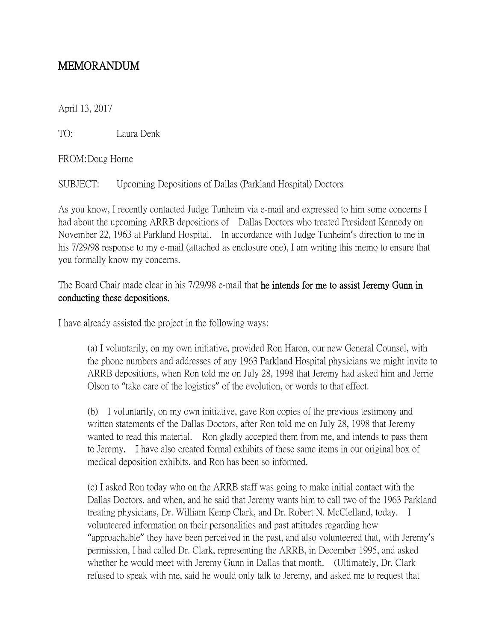## MEMORANDUM

April 13, 2017

TO: Laura Denk

FROM:Doug Horne

SUBJECT: Upcoming Depositions of Dallas (Parkland Hospital) Doctors

As you know, I recently contacted Judge Tunheim via e-mail and expressed to him some concerns I had about the upcoming ARRB depositions of Dallas Doctors who treated President Kennedy on November 22, 1963 at Parkland Hospital. In accordance with Judge Tunheim's direction to me in his 7/29/98 response to my e-mail (attached as enclosure one), I am writing this memo to ensure that you formally know my concerns.

The Board Chair made clear in his 7/29/98 e-mail that he intends for me to assist Jeremy Gunn in conducting these depositions.

I have already assisted the project in the following ways:

(a) I voluntarily, on my own initiative, provided Ron Haron, our new General Counsel, with the phone numbers and addresses of any 1963 Parkland Hospital physicians we might invite to ARRB depositions, when Ron told me on July 28, 1998 that Jeremy had asked him and Jerrie Olson to "take care of the logistics" of the evolution, or words to that effect.

(b) I voluntarily, on my own initiative, gave Ron copies of the previous testimony and written statements of the Dallas Doctors, after Ron told me on July 28, 1998 that Jeremy wanted to read this material. Ron gladly accepted them from me, and intends to pass them to Jeremy. I have also created formal exhibits of these same items in our original box of medical deposition exhibits, and Ron has been so informed.

(c) I asked Ron today who on the ARRB staff was going to make initial contact with the Dallas Doctors, and when, and he said that Jeremy wants him to call two of the 1963 Parkland treating physicians, Dr. William Kemp Clark, and Dr. Robert N. McClelland, today. I volunteered information on their personalities and past attitudes regarding how "approachable" they have been perceived in the past, and also volunteered that, with Jeremy's permission, I had called Dr. Clark, representing the ARRB, in December 1995, and asked whether he would meet with Jeremy Gunn in Dallas that month. (Ultimately, Dr. Clark refused to speak with me, said he would only talk to Jeremy, and asked me to request that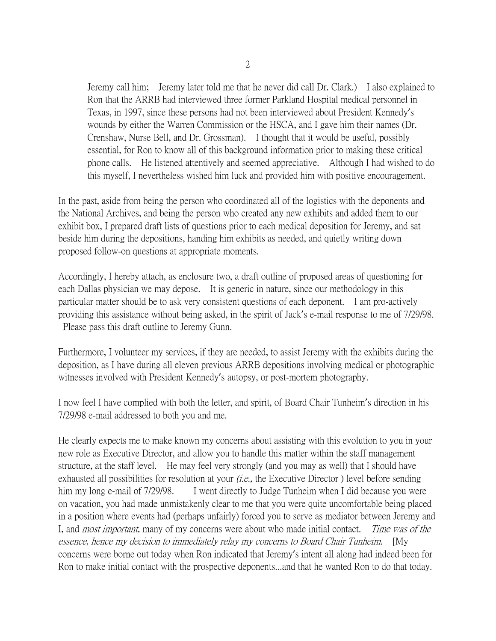Jeremy call him; Jeremy later told me that he never did call Dr. Clark.) I also explained to Ron that the ARRB had interviewed three former Parkland Hospital medical personnel in Texas, in 1997, since these persons had not been interviewed about President Kennedy's wounds by either the Warren Commission or the HSCA, and I gave him their names (Dr. Crenshaw, Nurse Bell, and Dr. Grossman). I thought that it would be useful, possibly essential, for Ron to know all of this background information prior to making these critical phone calls. He listened attentively and seemed appreciative. Although I had wished to do this myself, I nevertheless wished him luck and provided him with positive encouragement.

In the past, aside from being the person who coordinated all of the logistics with the deponents and the National Archives, and being the person who created any new exhibits and added them to our exhibit box, I prepared draft lists of questions prior to each medical deposition for Jeremy, and sat beside him during the depositions, handing him exhibits as needed, and quietly writing down proposed follow-on questions at appropriate moments.

Accordingly, I hereby attach, as enclosure two, a draft outline of proposed areas of questioning for each Dallas physician we may depose. It is generic in nature, since our methodology in this particular matter should be to ask very consistent questions of each deponent. I am pro-actively providing this assistance without being asked, in the spirit of Jack's e-mail response to me of 7/29/98. Please pass this draft outline to Jeremy Gunn.

Furthermore, I volunteer my services, if they are needed, to assist Jeremy with the exhibits during the deposition, as I have during all eleven previous ARRB depositions involving medical or photographic witnesses involved with President Kennedy's autopsy, or post-mortem photography.

I now feel I have complied with both the letter, and spirit, of Board Chair Tunheim's direction in his 7/29/98 e-mail addressed to both you and me.

He clearly expects me to make known my concerns about assisting with this evolution to you in your new role as Executive Director, and allow you to handle this matter within the staff management structure, at the staff level. He may feel very strongly (and you may as well) that I should have exhausted all possibilities for resolution at your  $(i.e.,$  the Executive Director ) level before sending him my long e-mail of 7/29/98. I went directly to Judge Tunheim when I did because you were on vacation, you had made unmistakenly clear to me that you were quite uncomfortable being placed in a position where events had (perhaps unfairly) forced you to serve as mediator between Jeremy and I, and *most important*, many of my concerns were about who made initial contact. Time was of the essence, hence my decision to immediately relay my concerns to Board Chair Tunheim. [My concerns were borne out today when Ron indicated that Jeremy's intent all along had indeed been for Ron to make initial contact with the prospective deponents...and that he wanted Ron to do that today.